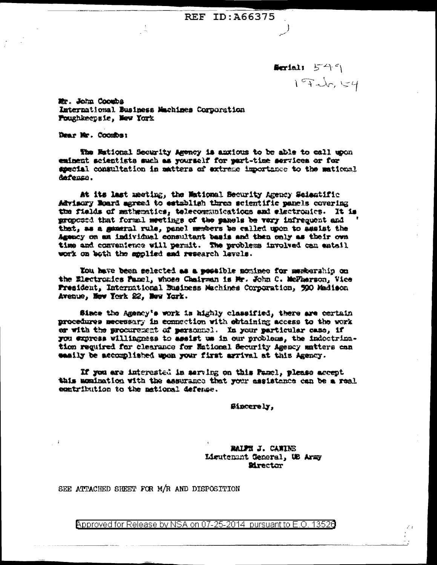**REF ID: A66375** 

**Northli**  $54^c$ 197 dr. 154

Mr. John Cooubs International Business Machines Corporation Poughkeepsie, New York

Dear Mr. Coombs:

The Mational Security Agency is anxious to be able to call upon eminent scientists such as yourself for part-time services or for special consultation in matters of extreme importance to the mational defense.

At its last meeting, the Wational Becurity Agency Scientific Advisory Noard agreed to establish three scientific panels covering the fields of mathematics, telecommunications and electronics. It is proposed that formal meetings of the panels be very infrequent and that, as a general rule, panel members be called upon to assist the Agency on an individual consultant basis and then only as their own time and convenience will permit. The problems involved can entail work on both the applied and research lavels.

You have been selected as a peesible nominee for membership on the Electronics Panel, whose Chairman is Mr. John C. McFharson, Vice President, International Business Machines Corporation, 990 Madison Avenue, New York 22, New York.

Since the Agency's work is highly classified, there are certain procedures mecessary in connection with obtaining access to the work or with the procurement of personnel. In your particular case, if you express willingness to assist us in our problems, the indectrination required for clearance for Eational Security Agency matters can easily be accomplished upon your first arrival at this Agency.

If you are interested in serving on this Panel, please accept this momination with the assurance that your assistance can be a real contribution to the national defense.

Sincerely,

RAIPH J. CANING Ligutement General, US Army **Mrector** 

SEE ATTACHED SHEET FOR M/R AND DISPOSITION

Approved for Release by NSA on 07-25-2014 pursuant to E.O. 13520